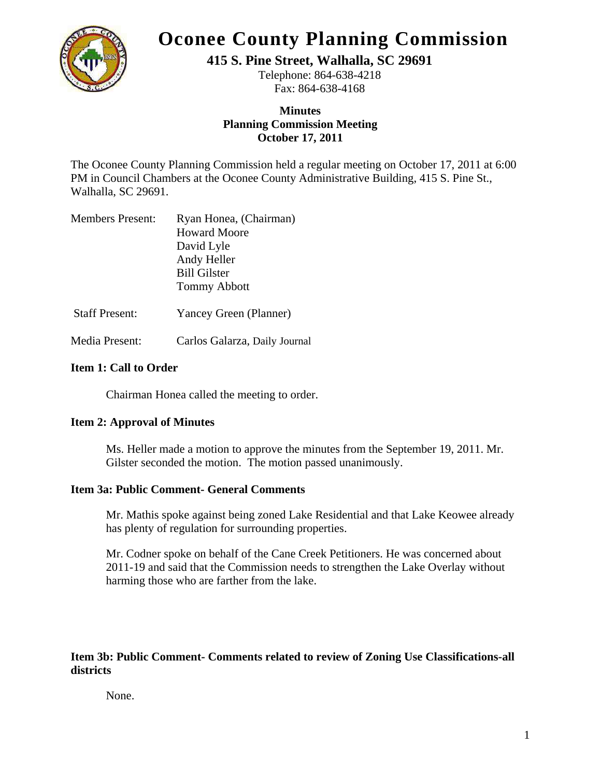

# **Oconee County Planning Commission**

**415 S. Pine Street, Walhalla, SC 29691** 

Telephone: 864-638-4218 Fax: 864-638-4168

# **Minutes Planning Commission Meeting October 17, 2011**

The Oconee County Planning Commission held a regular meeting on October 17, 2011 at 6:00 PM in Council Chambers at the Oconee County Administrative Building, 415 S. Pine St., Walhalla, SC 29691.

| <b>Members Present:</b> | Ryan Honea, (Chairman) |
|-------------------------|------------------------|
|                         | <b>Howard Moore</b>    |
|                         | David Lyle             |
|                         | Andy Heller            |
|                         | <b>Bill Gilster</b>    |
|                         | <b>Tommy Abbott</b>    |
|                         |                        |

Staff Present: Yancey Green (Planner)

Media Present: Carlos Galarza, Daily Journal

# **Item 1: Call to Order**

Chairman Honea called the meeting to order.

## **Item 2: Approval of Minutes**

Ms. Heller made a motion to approve the minutes from the September 19, 2011. Mr. Gilster seconded the motion. The motion passed unanimously.

## **Item 3a: Public Comment- General Comments**

Mr. Mathis spoke against being zoned Lake Residential and that Lake Keowee already has plenty of regulation for surrounding properties.

 Mr. Codner spoke on behalf of the Cane Creek Petitioners. He was concerned about 2011-19 and said that the Commission needs to strengthen the Lake Overlay without harming those who are farther from the lake.

# **Item 3b: Public Comment- Comments related to review of Zoning Use Classifications-all districts**

None.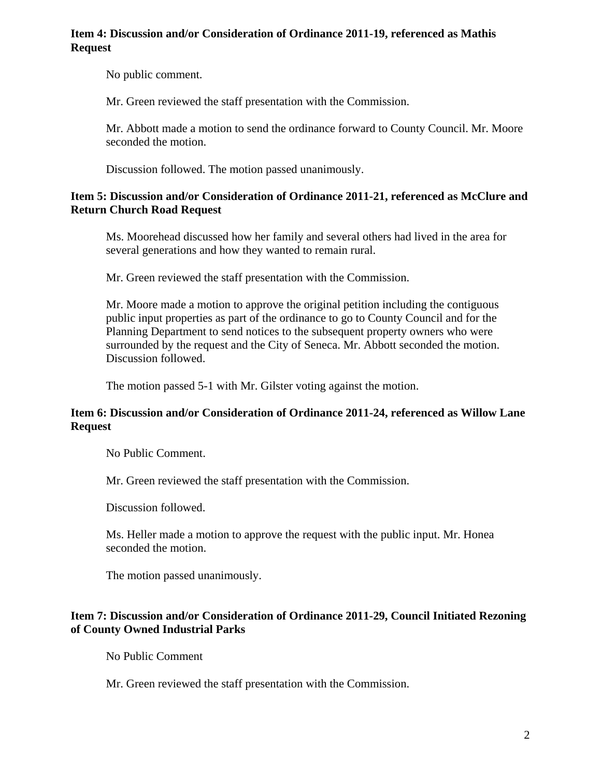#### **Item 4: Discussion and/or Consideration of Ordinance 2011-19, referenced as Mathis Request**

No public comment.

Mr. Green reviewed the staff presentation with the Commission.

Mr. Abbott made a motion to send the ordinance forward to County Council. Mr. Moore seconded the motion.

Discussion followed. The motion passed unanimously.

#### **Item 5: Discussion and/or Consideration of Ordinance 2011-21, referenced as McClure and Return Church Road Request**

Ms. Moorehead discussed how her family and several others had lived in the area for several generations and how they wanted to remain rural.

Mr. Green reviewed the staff presentation with the Commission.

Mr. Moore made a motion to approve the original petition including the contiguous public input properties as part of the ordinance to go to County Council and for the Planning Department to send notices to the subsequent property owners who were surrounded by the request and the City of Seneca. Mr. Abbott seconded the motion. Discussion followed.

The motion passed 5-1 with Mr. Gilster voting against the motion.

## **Item 6: Discussion and/or Consideration of Ordinance 2011-24, referenced as Willow Lane Request**

No Public Comment.

Mr. Green reviewed the staff presentation with the Commission.

Discussion followed.

Ms. Heller made a motion to approve the request with the public input. Mr. Honea seconded the motion.

The motion passed unanimously.

## **Item 7: Discussion and/or Consideration of Ordinance 2011-29, Council Initiated Rezoning of County Owned Industrial Parks**

No Public Comment

Mr. Green reviewed the staff presentation with the Commission.